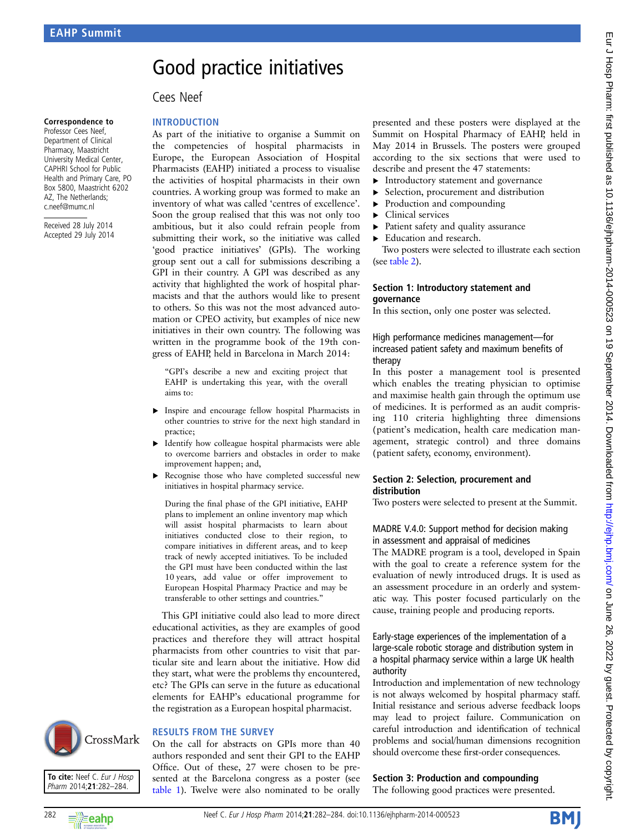# Good practice initiatives

## Cees Neef

#### Correspondence to

Professor Cees Neef, Department of Clinical Pharmacy, Maastricht University Medical Center, CAPHRI School for Public Health and Primary Care, PO Box 5800, Maastricht 6202 AZ, The Netherlands; c.neef@mumc.nl

Received 28 July 2014 Accepted 29 July 2014 **INTRODUCTION** 

As part of the initiative to organise a Summit on the competencies of hospital pharmacists in Europe, the European Association of Hospital Pharmacists (EAHP) initiated a process to visualise the activities of hospital pharmacists in their own countries. A working group was formed to make an inventory of what was called 'centres of excellence'. Soon the group realised that this was not only too ambitious, but it also could refrain people from submitting their work, so the initiative was called 'good practice initiatives' (GPIs). The working group sent out a call for submissions describing a GPI in their country. A GPI was described as any activity that highlighted the work of hospital pharmacists and that the authors would like to present to others. So this was not the most advanced automation or CPEO activity, but examples of nice new initiatives in their own country. The following was written in the programme book of the 19th congress of EAHP, held in Barcelona in March 2014:

"GPI's describe a new and exciting project that EAHP is undertaking this year, with the overall aims to:

- ▸ Inspire and encourage fellow hospital Pharmacists in other countries to strive for the next high standard in practice;
- ▸ Identify how colleague hospital pharmacists were able to overcome barriers and obstacles in order to make improvement happen; and,
- ▶ Recognise those who have completed successful new initiatives in hospital pharmacy service.

During the final phase of the GPI initiative, EAHP plans to implement an online inventory map which will assist hospital pharmacists to learn about initiatives conducted close to their region, to compare initiatives in different areas, and to keep track of newly accepted initiatives. To be included the GPI must have been conducted within the last 10 years, add value or offer improvement to European Hospital Pharmacy Practice and may be transferable to other settings and countries."

This GPI initiative could also lead to more direct educational activities, as they are examples of good practices and therefore they will attract hospital pharmacists from other countries to visit that particular site and learn about the initiative. How did they start, what were the problems thy encountered, etc? The GPIs can serve in the future as educational elements for EAHP's educational programme for the registration as a European hospital pharmacist.

#### RESULTS FROM THE SURVEY

On the call for abstracts on GPIs more than 40 authors responded and sent their GPI to the EAHP Office. Out of these, 27 were chosen to be presented at the Barcelona congress as a poster (see [table 1\)](#page-1-0). Twelve were also nominated to be orally

presented and these posters were displayed at the Summit on Hospital Pharmacy of EAHP, held in May 2014 in Brussels. The posters were grouped according to the six sections that were used to describe and present the 47 statements:

- ▸ Introductory statement and governance
- ▶ Selection, procurement and distribution
- Production and compounding
- ▸ Clinical services
- ▸ Patient safety and quality assurance
- Education and research.

Two posters were selected to illustrate each section (see [table 2\)](#page-1-0).

#### Section 1: Introductory statement and governance

In this section, only one poster was selected.

#### High performance medicines management—for increased patient safety and maximum benefits of therapy

In this poster a management tool is presented which enables the treating physician to optimise and maximise health gain through the optimum use of medicines. It is performed as an audit comprising 110 criteria highlighting three dimensions (patient's medication, health care medication management, strategic control) and three domains (patient safety, economy, environment).

#### Section 2: Selection, procurement and distribution

Two posters were selected to present at the Summit.

#### MADRE V.4.0: Support method for decision making in assessment and appraisal of medicines

The MADRE program is a tool, developed in Spain with the goal to create a reference system for the evaluation of newly introduced drugs. It is used as an assessment procedure in an orderly and systematic way. This poster focused particularly on the cause, training people and producing reports.

#### Early-stage experiences of the implementation of a large-scale robotic storage and distribution system in a hospital pharmacy service within a large UK health authority

Introduction and implementation of new technology is not always welcomed by hospital pharmacy staff. Initial resistance and serious adverse feedback loops may lead to project failure. Communication on careful introduction and identification of technical problems and social/human dimensions recognition should overcome these first-order consequences.

## Section 3: Production and compounding

The following good practices were presented.



To cite: Neef C. Eur J Hosp Pharm 2014;21:282-284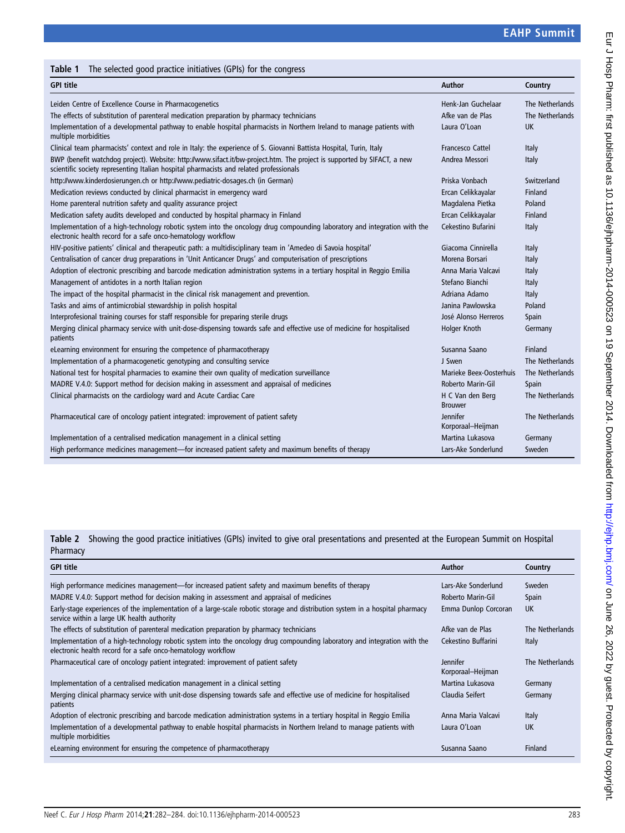## <span id="page-1-0"></span>Table 1 The selected good practice initiatives (GPIs) for the congress

| <b>GPI title</b>                                                                                                                                                                                                  | Author                             | Country         |
|-------------------------------------------------------------------------------------------------------------------------------------------------------------------------------------------------------------------|------------------------------------|-----------------|
| Leiden Centre of Excellence Course in Pharmacogenetics                                                                                                                                                            | Henk-Jan Guchelaar                 | The Netherlands |
| The effects of substitution of parenteral medication preparation by pharmacy technicians                                                                                                                          | Afke van de Plas                   | The Netherlands |
| Implementation of a developmental pathway to enable hospital pharmacists in Northern Ireland to manage patients with<br>multiple morbidities                                                                      | Laura O'Loan                       | <b>UK</b>       |
| Clinical team pharmacists' context and role in Italy: the experience of S. Giovanni Battista Hospital, Turin, Italy                                                                                               | <b>Francesco Cattel</b>            | Italy           |
| BWP (benefit watchdog project). Website: http://www.sifact.it/bw-project.htm. The project is supported by SIFACT, a new<br>scientific society representing Italian hospital pharmacists and related professionals | Andrea Messori                     | Italy           |
| http://www.kinderdosierungen.ch or http://www.pediatric-dosages.ch (in German)                                                                                                                                    | Priska Vonbach                     | Switzerland     |
| Medication reviews conducted by clinical pharmacist in emergency ward                                                                                                                                             | Ercan Celikkayalar                 | Finland         |
| Home parenteral nutrition safety and quality assurance project                                                                                                                                                    | Magdalena Pietka                   | Poland          |
| Medication safety audits developed and conducted by hospital pharmacy in Finland                                                                                                                                  | Ercan Celikkayalar                 | Finland         |
| Implementation of a high-technology robotic system into the oncology drug compounding laboratory and integration with the<br>electronic health record for a safe onco-hematology workflow                         | Cekestino Bufarini                 | Italy           |
| HIV-positive patients' clinical and therapeutic path: a multidisciplinary team in 'Amedeo di Savoia hospital'                                                                                                     | Giacoma Cinnirella                 | Italy           |
| Centralisation of cancer drug preparations in 'Unit Anticancer Drugs' and computerisation of prescriptions                                                                                                        | Morena Borsari                     | Italy           |
| Adoption of electronic prescribing and barcode medication administration systems in a tertiary hospital in Reggio Emilia                                                                                          | Anna Maria Valcavi                 | Italy           |
| Management of antidotes in a north Italian region                                                                                                                                                                 | Stefano Bianchi                    | Italy           |
| The impact of the hospital pharmacist in the clinical risk management and prevention.                                                                                                                             | Adriana Adamo                      | Italy           |
| Tasks and aims of antimicrobial stewardship in polish hospital                                                                                                                                                    | Janina Pawlowska                   | Poland          |
| Interprofesional training courses for staff responsible for preparing sterile drugs                                                                                                                               | José Alonso Herreros               | Spain           |
| Merging clinical pharmacy service with unit-dose-dispensing towards safe and effective use of medicine for hospitalised<br>patients                                                                               | Holger Knoth                       | Germany         |
| eLearning environment for ensuring the competence of pharmacotherapy                                                                                                                                              | Susanna Saano                      | Finland         |
| Implementation of a pharmacogenetic genotyping and consulting service                                                                                                                                             | J Swen                             | The Netherlands |
| National test for hospital pharmacies to examine their own quality of medication surveillance                                                                                                                     | Marieke Beex-Oosterhuis            | The Netherlands |
| MADRE V.4.0: Support method for decision making in assessment and appraisal of medicines                                                                                                                          | Roberto Marin-Gil                  | Spain           |
| Clinical pharmacists on the cardiology ward and Acute Cardiac Care                                                                                                                                                | H C Van den Berg<br><b>Brouwer</b> | The Netherlands |
| Pharmaceutical care of oncology patient integrated: improvement of patient safety                                                                                                                                 | Jennifer<br>Korporaal-Heijman      | The Netherlands |
| Implementation of a centralised medication management in a clinical setting                                                                                                                                       | Martina Lukasova                   | Germany         |
| High performance medicines management—for increased patient safety and maximum benefits of therapy                                                                                                                | Lars-Ake Sonderlund                | Sweden          |

Table 2 Showing the good practice initiatives (GPIs) invited to give oral presentations and presented at the European Summit on Hospital Pharmacy

| <b>GPI title</b>                                                                                                                                                                          | Author                               | Country         |
|-------------------------------------------------------------------------------------------------------------------------------------------------------------------------------------------|--------------------------------------|-----------------|
| High performance medicines management—for increased patient safety and maximum benefits of therapy                                                                                        | Lars-Ake Sonderlund                  | Sweden          |
| MADRE V.4.0: Support method for decision making in assessment and appraisal of medicines                                                                                                  | Roberto Marin-Gil                    | Spain           |
| Early-stage experiences of the implementation of a large-scale robotic storage and distribution system in a hospital pharmacy<br>service within a large UK health authority               | Emma Dunlop Corcoran                 | UK              |
| The effects of substitution of parenteral medication preparation by pharmacy technicians                                                                                                  | Afke van de Plas                     | The Netherlands |
| Implementation of a high-technology robotic system into the oncology drug compounding laboratory and integration with the<br>electronic health record for a safe onco-hematology workflow | Cekestino Buffarini                  | Italy           |
| Pharmaceutical care of oncology patient integrated: improvement of patient safety                                                                                                         | <b>Jennifer</b><br>Korporaal-Heijman | The Netherlands |
| Implementation of a centralised medication management in a clinical setting                                                                                                               | Martina Lukasova                     | Germany         |
| Merging clinical pharmacy service with unit-dose dispensing towards safe and effective use of medicine for hospitalised<br>patients                                                       | Claudia Seifert                      | Germany         |
| Adoption of electronic prescribing and barcode medication administration systems in a tertiary hospital in Reggio Emilia                                                                  | Anna Maria Valcavi                   | Italy           |
| Implementation of a developmental pathway to enable hospital pharmacists in Northern Ireland to manage patients with<br>multiple morbidities                                              | Laura O'Loan                         | <b>UK</b>       |
| eLearning environment for ensuring the competence of pharmacotherapy                                                                                                                      | Susanna Saano                        | Finland         |